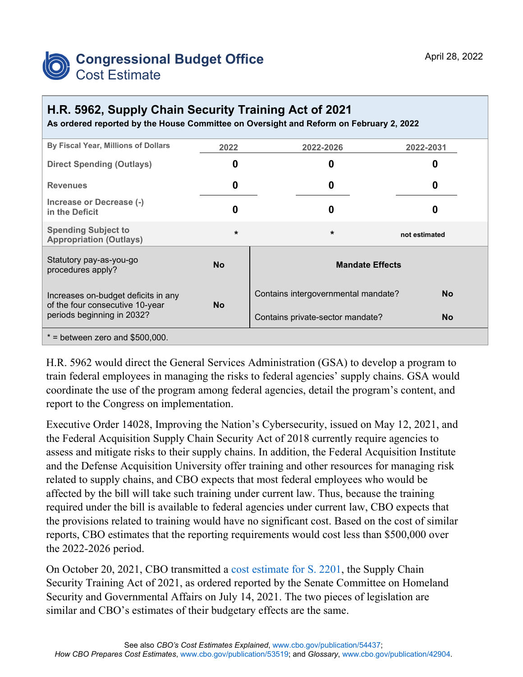

## **H.R. 5962, Supply Chain Security Training Act of 2021**

**As ordered reported by the House Committee on Oversight and Reform on February 2, 2022**

| By Fiscal Year, Millions of Dollars                                                                  | 2022      | 2022-2026                           | 2022-2031     |
|------------------------------------------------------------------------------------------------------|-----------|-------------------------------------|---------------|
| <b>Direct Spending (Outlays)</b>                                                                     | 0         | 0                                   | O             |
| <b>Revenues</b>                                                                                      | 0         | 0                                   | O             |
| Increase or Decrease (-)<br>in the Deficit                                                           | 0         | 0                                   |               |
| <b>Spending Subject to</b><br><b>Appropriation (Outlays)</b>                                         | $\star$   | $\star$                             | not estimated |
| Statutory pay-as-you-go<br>procedures apply?                                                         | <b>No</b> | <b>Mandate Effects</b>              |               |
| Increases on-budget deficits in any<br>of the four consecutive 10-year<br>periods beginning in 2032? | <b>No</b> | Contains intergovernmental mandate? | <b>No</b>     |
|                                                                                                      |           | Contains private-sector mandate?    | <b>No</b>     |
| $*$ = between zero and \$500,000.                                                                    |           |                                     |               |

H.R. 5962 would direct the General Services Administration (GSA) to develop a program to train federal employees in managing the risks to federal agencies' supply chains. GSA would coordinate the use of the program among federal agencies, detail the program's content, and report to the Congress on implementation.

Executive Order 14028, Improving the Nation's Cybersecurity, issued on May 12, 2021, and the Federal Acquisition Supply Chain Security Act of 2018 currently require agencies to assess and mitigate risks to their supply chains. In addition, the Federal Acquisition Institute and the Defense Acquisition University offer training and other resources for managing risk related to supply chains, and CBO expects that most federal employees who would be affected by the bill will take such training under current law. Thus, because the training required under the bill is available to federal agencies under current law, CBO expects that the provisions related to training would have no significant cost. Based on the cost of similar reports, CBO estimates that the reporting requirements would cost less than \$500,000 over the 2022-2026 period.

On October 20, 2021, CBO transmitted a [cost estimate for S. 2201,](https://www.cbo.gov/publication/57564) the Supply Chain Security Training Act of 2021, as ordered reported by the Senate Committee on Homeland Security and Governmental Affairs on July 14, 2021. The two pieces of legislation are similar and CBO's estimates of their budgetary effects are the same.